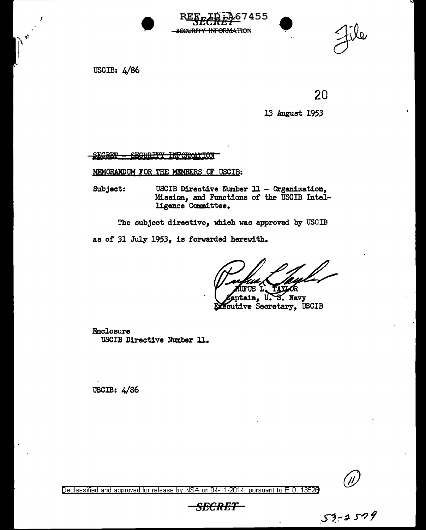USCIB: 4/86





20

13 August 1953

SECRET - SECURITY INFORMATION

MEMORANDUM FOR THE MEMBERS OF USCIB:

Subject: USCIB Directive Number 11 - Organization, Mission, and Functions of the USCIB Intelligence Committee.

The subject directive, which was approved by USCIB

as of 31 July 1953, is forwarded herewith.

ΠS

ptab., U. • Navy cutive Secretary, USCIB

Enclosure USCIB Directive Number ll.

USCIB: 4/86



Declassified and approved for release by NSA on 04-11-2014 pursuant to E.O. 13528<br>-SECRET<br>- SECRET

*SECRET*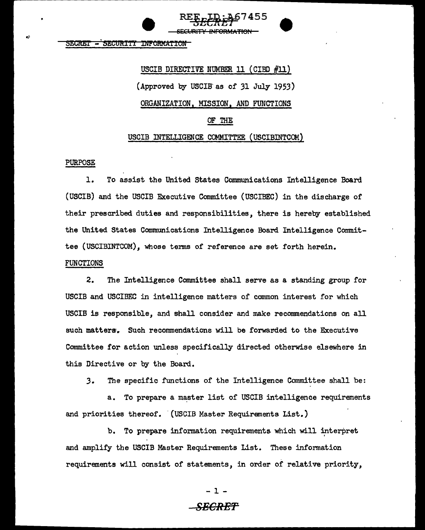5110.1111 **- SECURITI INFORMATION** 

> USCIB DIRECTIVE NUMBER 11 (CIBD #11) (Approved by USCIB as of  $31$  July 1953) ORGANIZATION, MISSION, AND FUNCTIONS OF THE USCIB INTELLIGENCE COMMITTEE (USCIBINTCOM)

SECURITY INFORMATION

RE<u>f:r:40</u>/455 **•** 

### PURPOSE

1. To assist the United States Communications Intelligence Board (USCIB) and the USCIB Executive Conunittee (USCIBEC) in the discharge of their prescribed duties and responsibilities, there is hereby established the United States Communications Intelligence Board Intelligence Committee (USCIBINTCOM), whose terms of reference are set forth herein. FUNCTIONS

2. The Intelligence Committee shall serve as a standing group for USCIB and USCIBEC in intelligence matters of common interest for which USCIB is responsible, and shall consider and make reconunendations on all such matters. Such recommendations will be forwarded to the Executive Committee for action unless specifically directed otherwise elsewhere in this Directive or by the Board.

*3.* The specific functions of the Intelligence Committee shall be:

a. To prepare a master list of USCIB intelligence requirements and priorities thereof. (USCIB Master Requirements List.)

b. To prepare information requirements which will interpret and amplify the USCIB Master Requirements List. These information requirements will consist of statements, in order of relative priority,

- 1 -

# **SECRET-**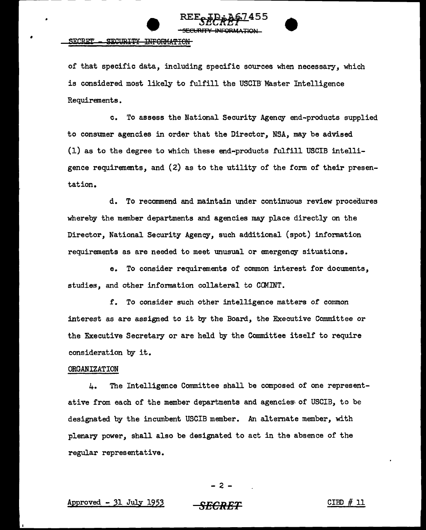



### SECRET - SECURITY INFORMATION

of that specific data, including specific sources when necessary, which is considered most likely to fulfill the USCIB Master Intelligence Requirements.

c. To assess the National Security Agency end-products supplied to consumer agencies in order that the Director, NSA, may be advised (1) as to the degree to which these end-products fulfill USCIB intelligence requirements, and (2) as to the utility of the form of their presentat ion.

d. To reconunend and maintain under continuous review procedures whereby the member departments and agencies may place directly on the Director, National Security Agency, such additional (spot) information requirements as are needed to meet unusual or emergency situations.

e. To consider requirements of common interest for documents, studies, and other information collateral to CCMINT.

f. To consider such other intelligence matters of common interest as are assigned to it by the Board, the Executive Committee or the Executive Secretary or are held by the Committee itself to require consideration by it.

### ORGANIZATION

4. The Intelligence Committee shall be composed of one representative from each of the member departments and agencies; of USCIB, to be designated by the incumbent USCIB member. An alternate member, with plenary power, shall also be designated to act in the absence of the regular representative.

## - 2 -

### APproved - 31 JuJ.y 1953 *SECRET* CIBD # 11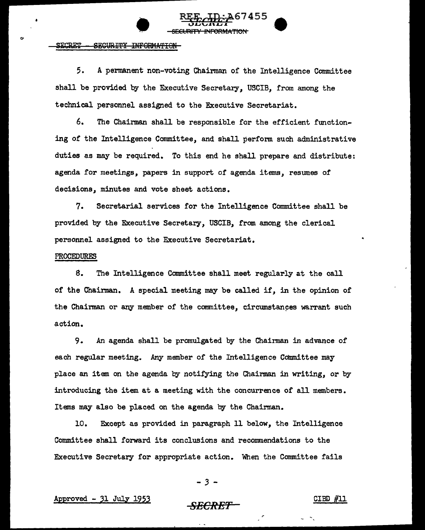# **EEF HD: A67455**  $-$ ECURITY INFORMATION

------------------- - -

5. A permanent non-voting Chairman of the Intelligence Committee shall be provided by the Executive Secretary, USCIB, from among the technical personnel assigned to the Executive Secretariat.

<del>SECURITY INFORMATION</del>

6. The Chairman shall be responsible for the efficient flmctioning of the Intelligence Committee, and shall perfonn such administrative duties as may be required. To this end he shall prepare and distribute: agenda for meetings, papers in support of agenda items, resumes of decisions, minutes and vote sheet actions.

7. Secretarial services for the Intelligence Committee shall be provided by the Executive Secretary, USCIB, from among the clerical personnel assigned to the Executive Secretariat.

### PROCEDURES

8. The Intelligence Committee shall meet regularly at the call of the Chainnan. A special meeting may be called if, in the opinion of the Chairman or any member of the committee, circumstances warrant such action.

9. An agenda shall be promulgated by the Chairman in advance of each regular meeting. Any member of the Intelligence Committee may place an item on the agenda by notifying the Chairman in writing, or by introducing the item at a meeting with the concurrence of all members. Items may also be placed on the agenda by the Chairman.

10. Except as provided in paragraph 11 below, the Intelligence Committee shall forward its conclusions and recommendations to the Executive Secretary for appropriate action. When the Committee fails

 $-3$ 

# Approved - 31 July 1953 **SECRET 2018 SECRET 21** CIBD #11